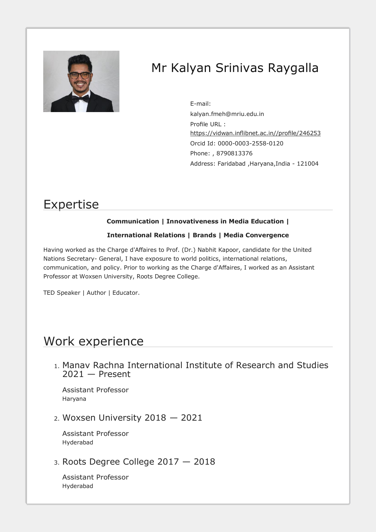

# Mr Kalyan Srinivas Raygalla

E-m[ail:](mailto:kalyan.fmeh@mriu.edu.in)  [kalyan.fmeh@mriu.edu.in](mailto:kalyan.fmeh@mriu.edu.in) Profile URL : [https://vidwan.inflibnet.ac.in//profile/246253](https://vidwan.inflibnet.ac.in/profile/246253) Orcid Id: 0000-0003-2558-0120 Phone: , 8790813376 Address: Faridabad ,Haryana,India - 121004

## Expertise

### **Communication | Innovativeness in Media Education |**

### **International Relations | Brands | Media Convergence**

Having worked as the Charge d'Affaires to Prof. (Dr.) Nabhit Kapoor, candidate for the United Nations Secretary- General, I have exposure to world politics, international relations, communication, and policy. Prior to working as the Charge d'Affaires, I worked as an Assistant Professor at Woxsen University, Roots Degree College.

TED Speaker | Author | Educator.

## Work experience

1. Manav Rachna International Institute of Research and Studies 2021 — Present

Assistant Professor Haryana

2. Woxsen University 2018 — 2021

Assistant Professor Hyderabad

3. Roots Degree College 2017 — 2018

Assistant Professor Hyderabad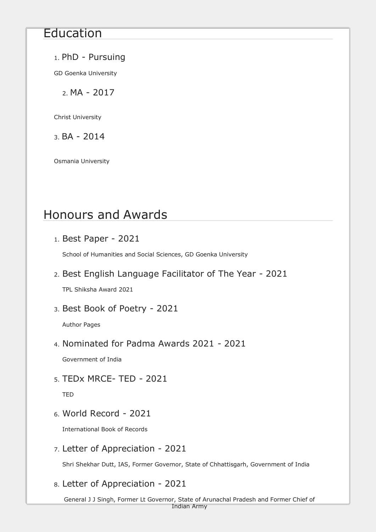## Education

## 1. PhD - Pursuing

GD Goenka University

2. MA - 2017

Christ University

 $3. BA - 2014$ 

Osmania University

# Honours and Awards

1. Best Paper - 2021

School of Humanities and Social Sciences, GD Goenka University

2. Best English Language Facilitator of The Year - 2021

TPL Shiksha Award 2021

3. Best Book of Poetry - 2021

Author Pages

4. Nominated for Padma Awards 2021 - 2021

Government of India

5. TEDx MRCE- TED - 2021

TED

6. World Record - 2021

International Book of Records

7. Letter of Appreciation - 2021

Shri Shekhar Dutt, IAS, Former Governor, State of Chhattisgarh, Government of India

## 8. Letter of Appreciation - 2021

General J J Singh, Former Lt Governor, State of Arunachal Pradesh and Former Chief of Indian Army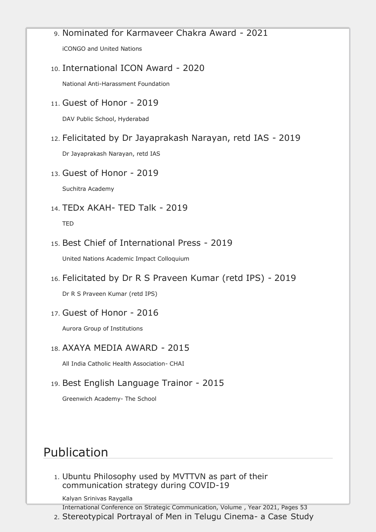## 9. Nominated for Karmaveer Chakra Award - 2021

iCONGO and United Nations

### 10. International ICON Award - 2020

National Anti-Harassment Foundation

11. Guest of Honor - 2019

DAV Public School, Hyderabad

### 12. Felicitated by Dr Jayaprakash Narayan, retd IAS - 2019

Dr Jayaprakash Narayan, retd IAS

13. Guest of Honor - 2019

Suchitra Academy

14. TEDx AKAH- TED Talk - 2019

TED

### 15. Best Chief of International Press - 2019

United Nations Academic Impact Colloquium

16. Felicitated by Dr R S Praveen Kumar (retd IPS) - 2019

Dr R S Praveen Kumar (retd IPS)

17. Guest of Honor - 2016

Aurora Group of Institutions

### 18. AXAYA MEDIA AWARD - 2015

All India Catholic Health Association- CHAI

## 19. Best English Language Trainor - 2015

Greenwich Academy- The School

# Publication

1. Ubuntu Philosophy used by MVTTVN as part of their communication strategy during COVID-19

Kalyan Srinivas Raygalla

International Conference on Strategic Communication, Volume , Year 2021, Pages 53

2. Stereotypical Portrayal of Men in Telugu Cinema- a Case Study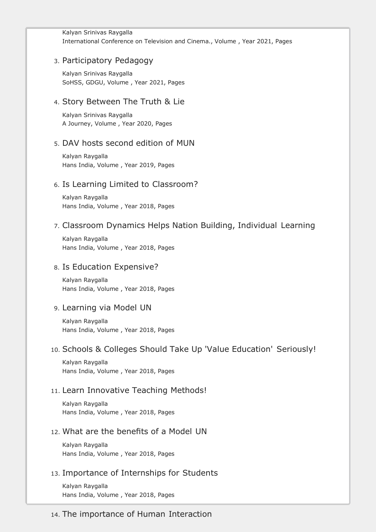#### Kalyan Srinivas Raygalla International Conference on Television and Cinema., Volume , Year 2021, Pages

### 3. Participatory Pedagogy

Kalyan Srinivas Raygalla SoHSS, GDGU, Volume , Year 2021, Pages

### 4. Story Between The Truth & Lie

Kalyan Srinivas Raygalla A Journey, Volume , Year 2020, Pages

### 5. DAV hosts second edition of MUN

Kalyan Raygalla Hans India, Volume , Year 2019, Pages

### 6. Is Learning Limited to Classroom?

Kalyan Raygalla Hans India, Volume , Year 2018, Pages

### 7. Classroom Dynamics Helps Nation Building, Individual Learning

Kalyan Raygalla Hans India, Volume , Year 2018, Pages

### 8. Is Education Expensive?

Kalyan Raygalla Hans India, Volume , Year 2018, Pages

### 9. Learning via Model UN

Kalyan Raygalla Hans India, Volume , Year 2018, Pages

### 10. Schools & Colleges Should Take Up 'Value Education' Seriously!

Kalyan Raygalla Hans India, Volume , Year 2018, Pages

### 11. Learn Innovative Teaching Methods!

Kalyan Raygalla Hans India, Volume , Year 2018, Pages

### 12. What are the benefits of a Model UN

Kalyan Raygalla Hans India, Volume , Year 2018, Pages

### 13. Importance of Internships for Students

Kalyan Raygalla Hans India, Volume , Year 2018, Pages

### 14. The importance of Human Interaction